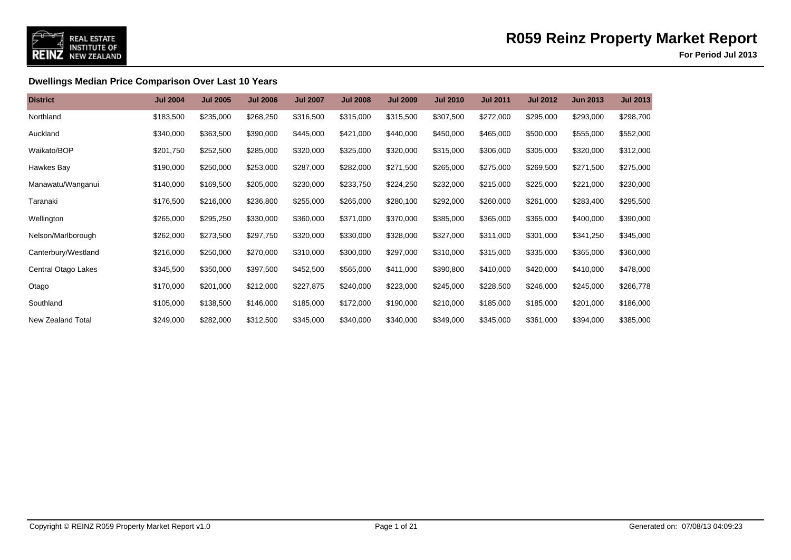

**For Period Jul 2013**

### **Dwellings Median Price Comparison Over Last 10 Years**

| <b>District</b>     | <b>Jul 2004</b> | <b>Jul 2005</b> | <b>Jul 2006</b> | <b>Jul 2007</b> | <b>Jul 2008</b> | <b>Jul 2009</b> | <b>Jul 2010</b> | <b>Jul 2011</b> | <b>Jul 2012</b> | <b>Jun 2013</b> | <b>Jul 2013</b> |
|---------------------|-----------------|-----------------|-----------------|-----------------|-----------------|-----------------|-----------------|-----------------|-----------------|-----------------|-----------------|
| Northland           | \$183,500       | \$235,000       | \$268,250       | \$316,500       | \$315,000       | \$315,500       | \$307,500       | \$272,000       | \$295,000       | \$293,000       | \$298,700       |
| Auckland            | \$340,000       | \$363,500       | \$390,000       | \$445,000       | \$421,000       | \$440,000       | \$450,000       | \$465,000       | \$500,000       | \$555,000       | \$552,000       |
| Waikato/BOP         | \$201,750       | \$252,500       | \$285,000       | \$320,000       | \$325,000       | \$320,000       | \$315,000       | \$306,000       | \$305,000       | \$320,000       | \$312,000       |
| Hawkes Bay          | \$190,000       | \$250,000       | \$253,000       | \$287,000       | \$282,000       | \$271,500       | \$265,000       | \$275,000       | \$269,500       | \$271,500       | \$275,000       |
| Manawatu/Wanganui   | \$140,000       | \$169,500       | \$205,000       | \$230,000       | \$233,750       | \$224,250       | \$232,000       | \$215,000       | \$225,000       | \$221,000       | \$230,000       |
| Taranaki            | \$176,500       | \$216,000       | \$236,800       | \$255,000       | \$265,000       | \$280,100       | \$292,000       | \$260,000       | \$261,000       | \$283,400       | \$295,500       |
| Wellington          | \$265,000       | \$295,250       | \$330,000       | \$360,000       | \$371,000       | \$370,000       | \$385,000       | \$365,000       | \$365,000       | \$400,000       | \$390,000       |
| Nelson/Marlborough  | \$262,000       | \$273,500       | \$297,750       | \$320,000       | \$330,000       | \$328,000       | \$327,000       | \$311,000       | \$301,000       | \$341,250       | \$345,000       |
| Canterbury/Westland | \$216,000       | \$250,000       | \$270,000       | \$310,000       | \$300,000       | \$297,000       | \$310,000       | \$315,000       | \$335,000       | \$365,000       | \$360,000       |
| Central Otago Lakes | \$345,500       | \$350,000       | \$397,500       | \$452,500       | \$565,000       | \$411,000       | \$390,800       | \$410,000       | \$420,000       | \$410,000       | \$478,000       |
| Otago               | \$170,000       | \$201,000       | \$212,000       | \$227,875       | \$240,000       | \$223,000       | \$245,000       | \$228,500       | \$246,000       | \$245,000       | \$266,778       |
| Southland           | \$105,000       | \$138,500       | \$146,000       | \$185,000       | \$172,000       | \$190,000       | \$210,000       | \$185,000       | \$185,000       | \$201,000       | \$186,000       |
| New Zealand Total   | \$249,000       | \$282,000       | \$312,500       | \$345,000       | \$340,000       | \$340,000       | \$349,000       | \$345,000       | \$361,000       | \$394,000       | \$385,000       |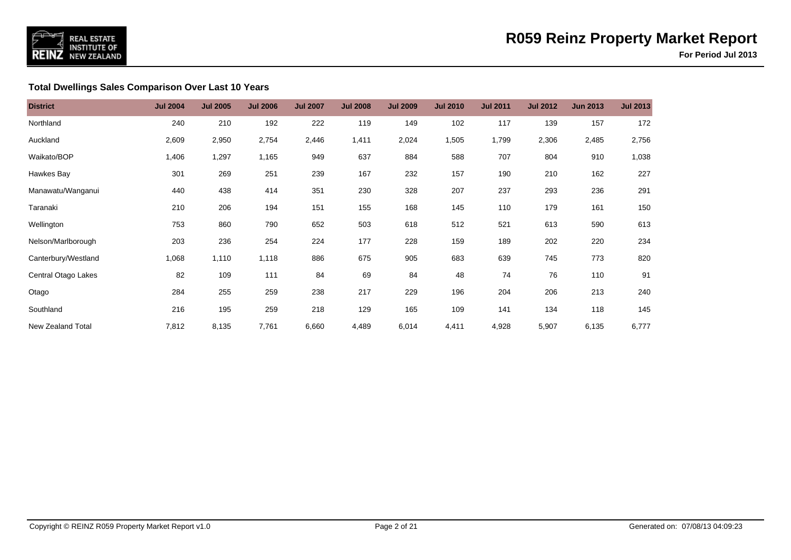

### **Total Dwellings Sales Comparison Over Last 10 Years**

| <b>District</b>     | <b>Jul 2004</b> | <b>Jul 2005</b> | <b>Jul 2006</b> | <b>Jul 2007</b> | <b>Jul 2008</b> | <b>Jul 2009</b> | <b>Jul 2010</b> | <b>Jul 2011</b> | <b>Jul 2012</b> | <b>Jun 2013</b> | <b>Jul 2013</b> |
|---------------------|-----------------|-----------------|-----------------|-----------------|-----------------|-----------------|-----------------|-----------------|-----------------|-----------------|-----------------|
| Northland           | 240             | 210             | 192             | 222             | 119             | 149             | 102             | 117             | 139             | 157             | 172             |
| Auckland            | 2,609           | 2,950           | 2,754           | 2,446           | 1,411           | 2,024           | 1,505           | 1,799           | 2,306           | 2,485           | 2,756           |
| Waikato/BOP         | 1,406           | 1,297           | 1,165           | 949             | 637             | 884             | 588             | 707             | 804             | 910             | 1,038           |
| Hawkes Bay          | 301             | 269             | 251             | 239             | 167             | 232             | 157             | 190             | 210             | 162             | 227             |
| Manawatu/Wanganui   | 440             | 438             | 414             | 351             | 230             | 328             | 207             | 237             | 293             | 236             | 291             |
| Taranaki            | 210             | 206             | 194             | 151             | 155             | 168             | 145             | 110             | 179             | 161             | 150             |
| Wellington          | 753             | 860             | 790             | 652             | 503             | 618             | 512             | 521             | 613             | 590             | 613             |
| Nelson/Marlborough  | 203             | 236             | 254             | 224             | 177             | 228             | 159             | 189             | 202             | 220             | 234             |
| Canterbury/Westland | 1,068           | 1,110           | 1,118           | 886             | 675             | 905             | 683             | 639             | 745             | 773             | 820             |
| Central Otago Lakes | 82              | 109             | 111             | 84              | 69              | 84              | 48              | 74              | 76              | 110             | 91              |
| Otago               | 284             | 255             | 259             | 238             | 217             | 229             | 196             | 204             | 206             | 213             | 240             |
| Southland           | 216             | 195             | 259             | 218             | 129             | 165             | 109             | 141             | 134             | 118             | 145             |
| New Zealand Total   | 7,812           | 8,135           | 7,761           | 6,660           | 4,489           | 6,014           | 4,411           | 4,928           | 5,907           | 6,135           | 6,777           |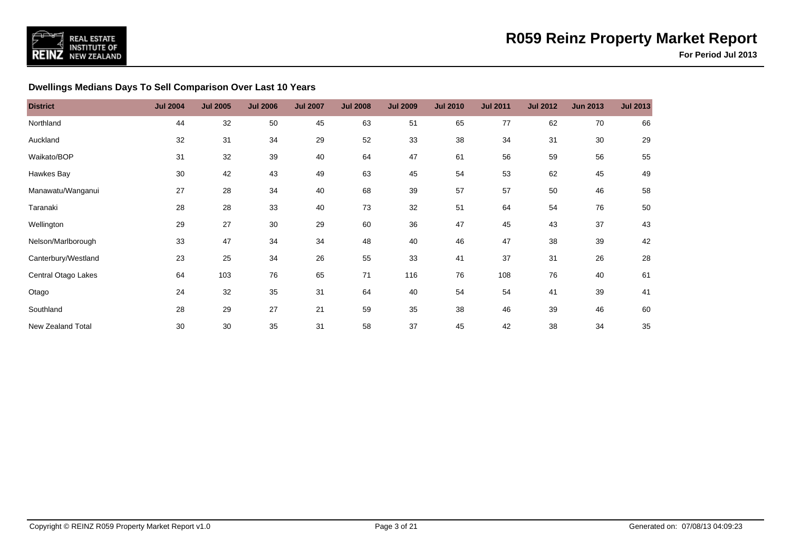

### **Dwellings Medians Days To Sell Comparison Over Last 10 Years**

| <b>District</b>     | <b>Jul 2004</b> | <b>Jul 2005</b> | <b>Jul 2006</b> | <b>Jul 2007</b> | <b>Jul 2008</b> | <b>Jul 2009</b> | <b>Jul 2010</b> | <b>Jul 2011</b> | <b>Jul 2012</b> | <b>Jun 2013</b> | <b>Jul 2013</b> |
|---------------------|-----------------|-----------------|-----------------|-----------------|-----------------|-----------------|-----------------|-----------------|-----------------|-----------------|-----------------|
| Northland           | 44              | 32              | 50              | 45              | 63              | 51              | 65              | 77              | 62              | 70              | 66              |
| Auckland            | 32              | 31              | 34              | 29              | 52              | 33              | 38              | 34              | 31              | 30              | 29              |
| Waikato/BOP         | 31              | 32              | 39              | 40              | 64              | 47              | 61              | 56              | 59              | 56              | 55              |
| Hawkes Bay          | 30              | 42              | 43              | 49              | 63              | 45              | 54              | 53              | 62              | 45              | 49              |
| Manawatu/Wanganui   | 27              | 28              | 34              | 40              | 68              | 39              | 57              | 57              | 50              | 46              | 58              |
| Taranaki            | 28              | 28              | 33              | 40              | 73              | 32              | 51              | 64              | 54              | 76              | 50              |
| Wellington          | 29              | 27              | 30              | 29              | 60              | 36              | 47              | 45              | 43              | 37              | 43              |
| Nelson/Marlborough  | 33              | 47              | 34              | 34              | 48              | 40              | 46              | 47              | 38              | 39              | 42              |
| Canterbury/Westland | 23              | 25              | 34              | 26              | 55              | 33              | 41              | 37              | 31              | 26              | 28              |
| Central Otago Lakes | 64              | 103             | 76              | 65              | 71              | 116             | 76              | 108             | 76              | 40              | 61              |
| Otago               | 24              | 32              | 35              | 31              | 64              | 40              | 54              | 54              | 41              | 39              | 41              |
| Southland           | 28              | 29              | 27              | 21              | 59              | 35              | 38              | 46              | 39              | 46              | 60              |
| New Zealand Total   | 30              | 30              | 35              | 31              | 58              | 37              | 45              | 42              | 38              | 34              | 35              |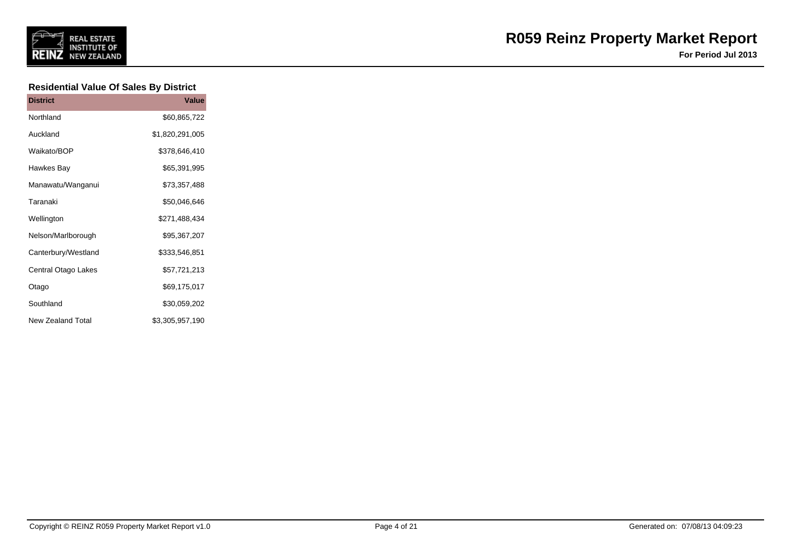

**For Period Jul 2013**

### **Residential Value Of Sales By District**

| <b>District</b>          | Value           |
|--------------------------|-----------------|
| Northland                | \$60,865,722    |
| Auckland                 | \$1,820,291,005 |
| Waikato/BOP              | \$378,646,410   |
| Hawkes Bay               | \$65,391,995    |
| Manawatu/Wanganui        | \$73,357,488    |
| Taranaki                 | \$50,046,646    |
| Wellington               | \$271,488,434   |
| Nelson/Marlborough       | \$95,367,207    |
| Canterbury/Westland      | \$333,546,851   |
| Central Otago Lakes      | \$57,721,213    |
| Otago                    | \$69,175,017    |
| Southland                | \$30,059,202    |
| <b>New Zealand Total</b> | \$3,305,957,190 |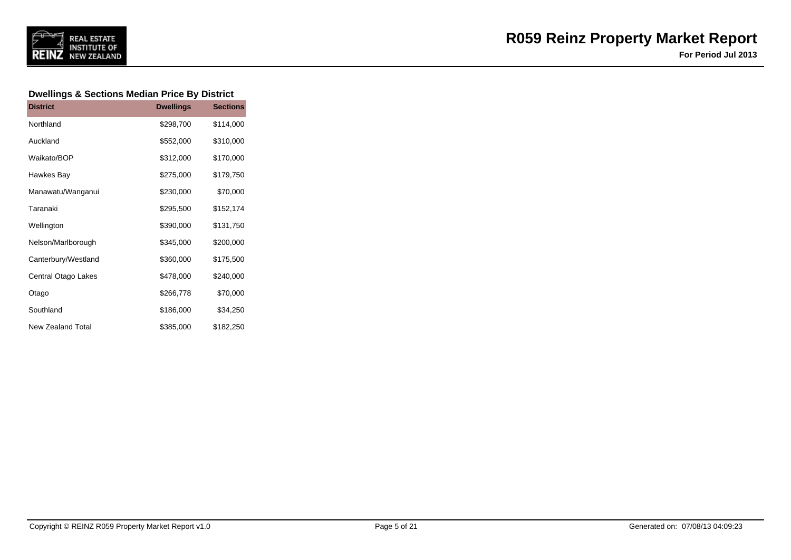

#### **Dwellings & Sections Median Price By District**

| <b>District</b>          | <b>Dwellings</b> | <b>Sections</b> |
|--------------------------|------------------|-----------------|
| Northland                | \$298,700        | \$114,000       |
| Auckland                 | \$552,000        | \$310,000       |
| Waikato/BOP              | \$312,000        | \$170,000       |
| Hawkes Bay               | \$275,000        | \$179,750       |
| Manawatu/Wanganui        | \$230,000        | \$70,000        |
| Taranaki                 | \$295,500        | \$152,174       |
| Wellington               | \$390,000        | \$131,750       |
| Nelson/Marlborough       | \$345,000        | \$200,000       |
| Canterbury/Westland      | \$360,000        | \$175,500       |
| Central Otago Lakes      | \$478,000        | \$240,000       |
| Otago                    | \$266,778        | \$70,000        |
| Southland                | \$186,000        | \$34,250        |
| <b>New Zealand Total</b> | \$385,000        | \$182,250       |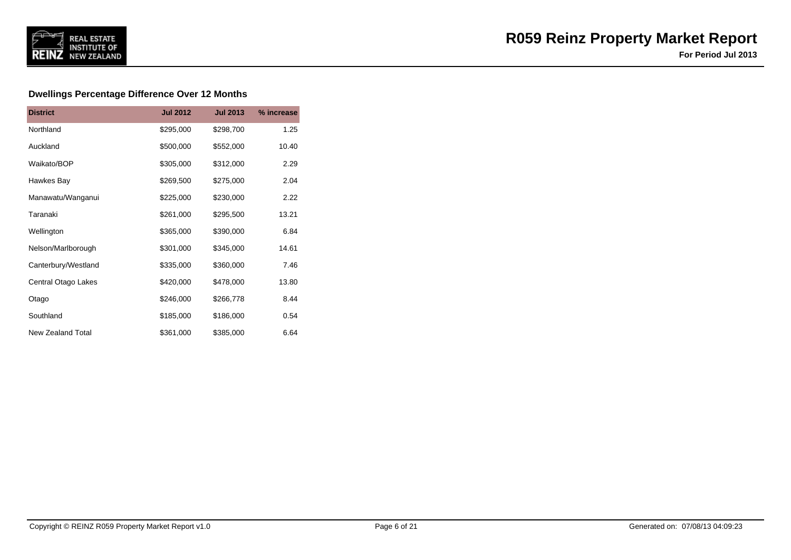

### **Dwellings Percentage Difference Over 12 Months**

| <b>District</b>          | <b>Jul 2012</b> | <b>Jul 2013</b> | % increase |
|--------------------------|-----------------|-----------------|------------|
| Northland                | \$295,000       | \$298,700       | 1.25       |
| Auckland                 | \$500,000       | \$552,000       | 10.40      |
| Waikato/BOP              | \$305,000       | \$312,000       | 2.29       |
| Hawkes Bay               | \$269,500       | \$275,000       | 2.04       |
| Manawatu/Wanganui        | \$225,000       | \$230,000       | 2.22       |
| Taranaki                 | \$261,000       | \$295,500       | 13.21      |
| Wellington               | \$365,000       | \$390,000       | 6.84       |
| Nelson/Marlborough       | \$301,000       | \$345,000       | 14.61      |
| Canterbury/Westland      | \$335,000       | \$360,000       | 7.46       |
| Central Otago Lakes      | \$420,000       | \$478,000       | 13.80      |
| Otago                    | \$246,000       | \$266,778       | 8.44       |
| Southland                | \$185,000       | \$186,000       | 0.54       |
| <b>New Zealand Total</b> | \$361,000       | \$385,000       | 6.64       |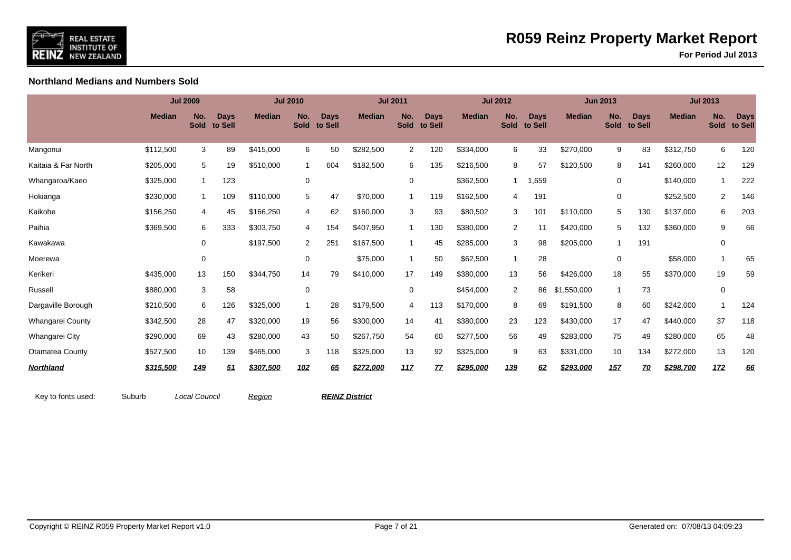

**For Period Jul 2013**

**Northland Medians and Numbers Sold**

|                         |               | <b>Jul 2009</b>    |                        |               | <b>Jul 2010</b>    |                        |               | <b>Jul 2011</b>    |                        |               | <b>Jul 2012</b>    |                        |               | <b>Jun 2013</b>    |                        |               | <b>Jul 2013</b>          |                        |
|-------------------------|---------------|--------------------|------------------------|---------------|--------------------|------------------------|---------------|--------------------|------------------------|---------------|--------------------|------------------------|---------------|--------------------|------------------------|---------------|--------------------------|------------------------|
|                         | <b>Median</b> | No.<br><b>Sold</b> | <b>Days</b><br>to Sell | <b>Median</b> | No.<br><b>Sold</b> | <b>Days</b><br>to Sell | <b>Median</b> | No.<br><b>Sold</b> | <b>Days</b><br>to Sell | <b>Median</b> | No.<br><b>Sold</b> | <b>Days</b><br>to Sell | <b>Median</b> | No.<br><b>Sold</b> | <b>Days</b><br>to Sell | <b>Median</b> | No.<br><b>Sold</b>       | <b>Days</b><br>to Sell |
| Mangonui                | \$112,500     | 3                  | 89                     | \$415,000     | 6                  | 50                     | \$282,500     | $\overline{2}$     | 120                    | \$334,000     | 6                  | 33                     | \$270,000     | 9                  | 83                     | \$312,750     | 6                        | 120                    |
| Kaitaia & Far North     | \$205,000     | 5                  | 19                     | \$510,000     | $\overline{1}$     | 604                    | \$182,500     | 6                  | 135                    | \$216,500     | 8                  | 57                     | \$120,500     | 8                  | 141                    | \$260,000     | 12                       | 129                    |
| Whangaroa/Kaeo          | \$325,000     | $\mathbf{1}$       | 123                    |               | 0                  |                        |               | 0                  |                        | \$362,500     | $\overline{1}$     | 1,659                  |               | $\mathbf 0$        |                        | \$140,000     | -1                       | 222                    |
| Hokianga                | \$230,000     | $\mathbf{1}$       | 109                    | \$110,000     | 5                  | 47                     | \$70,000      | -1                 | 119                    | \$162,500     | 4                  | 191                    |               | 0                  |                        | \$252,500     | 2                        | 146                    |
| Kaikohe                 | \$156,250     | 4                  | 45                     | \$166,250     | 4                  | 62                     | \$160,000     | 3                  | 93                     | \$80,502      | 3                  | 101                    | \$110,000     | 5                  | 130                    | \$137,000     | 6                        | 203                    |
| Paihia                  | \$369,500     | 6                  | 333                    | \$303,750     | $\overline{4}$     | 154                    | \$407,950     | $\mathbf 1$        | 130                    | \$380,000     | $\overline{2}$     | 11                     | \$420,000     | 5                  | 132                    | \$360,000     | 9                        | 66                     |
| Kawakawa                |               | 0                  |                        | \$197,500     | $\overline{2}$     | 251                    | \$167,500     | $\overline{1}$     | 45                     | \$285,000     | 3                  | 98                     | \$205,000     | $\mathbf{1}$       | 191                    |               | 0                        |                        |
| Moerewa                 |               | $\mathbf 0$        |                        |               | 0                  |                        | \$75,000      | $\mathbf 1$        | 50                     | \$62,500      | -1                 | 28                     |               | 0                  |                        | \$58,000      | $\overline{\phantom{a}}$ | 65                     |
| Kerikeri                | \$435,000     | 13                 | 150                    | \$344,750     | 14                 | 79                     | \$410,000     | 17                 | 149                    | \$380,000     | 13                 | 56                     | \$426,000     | 18                 | 55                     | \$370,000     | 19                       | 59                     |
| Russell                 | \$880,000     | 3                  | 58                     |               | $\mathbf 0$        |                        |               | 0                  |                        | \$454,000     | $\overline{2}$     | 86                     | \$1,550,000   | $\mathbf 1$        | 73                     |               | 0                        |                        |
| Dargaville Borough      | \$210,500     | 6                  | 126                    | \$325,000     | -1                 | 28                     | \$179,500     | 4                  | 113                    | \$170,000     | 8                  | 69                     | \$191,500     | 8                  | 60                     | \$242,000     | $\overline{1}$           | 124                    |
| <b>Whangarei County</b> | \$342,500     | 28                 | 47                     | \$320,000     | 19                 | 56                     | \$300,000     | 14                 | 41                     | \$380,000     | 23                 | 123                    | \$430,000     | 17                 | 47                     | \$440,000     | 37                       | 118                    |
| Whangarei City          | \$290,000     | 69                 | 43                     | \$280,000     | 43                 | 50                     | \$267,750     | 54                 | 60                     | \$277,500     | 56                 | 49                     | \$283,000     | 75                 | 49                     | \$280,000     | 65                       | 48                     |
| Otamatea County         | \$527,500     | 10                 | 139                    | \$465,000     | 3                  | 118                    | \$325,000     | 13                 | 92                     | \$325,000     | 9                  | 63                     | \$331,000     | 10                 | 134                    | \$272,000     | 13                       | 120                    |
| Northland               | \$315,500     | 149                | 51                     | \$307,500     | 102                | 65                     | \$272,000     | 117                | 77                     | \$295,000     | <u>139</u>         | 62                     | \$293,000     | 157                | <u>70</u>              | \$298,700     | <u>172</u>               | 66                     |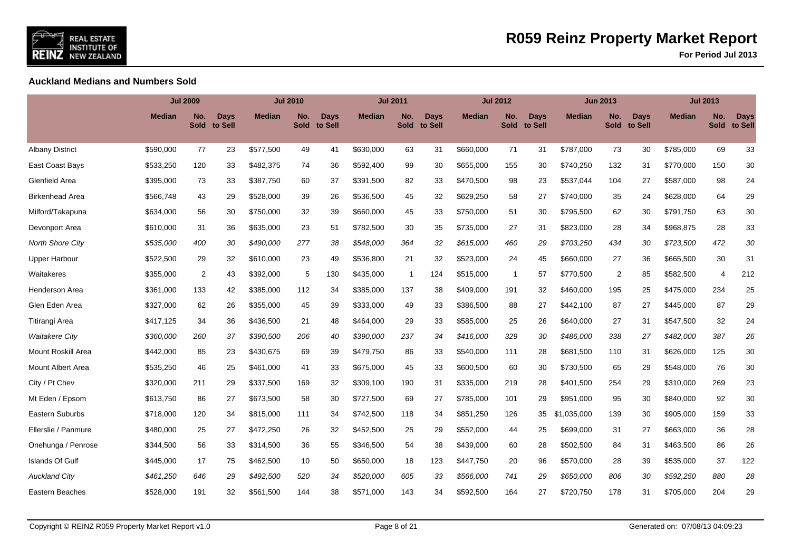

**For Period Jul 2013**

**Auckland Medians and Numbers Sold**

|                          |               | <b>Jul 2009</b>    |                 |               | <b>Jul 2010</b>    |                 |               | <b>Jul 2011</b> |                        |               | <b>Jul 2012</b>    |                        |               | <b>Jun 2013</b>    |                        |               | <b>Jul 2013</b>    |                        |
|--------------------------|---------------|--------------------|-----------------|---------------|--------------------|-----------------|---------------|-----------------|------------------------|---------------|--------------------|------------------------|---------------|--------------------|------------------------|---------------|--------------------|------------------------|
|                          | <b>Median</b> | No.<br><b>Sold</b> | Days<br>to Sell | <b>Median</b> | No.<br><b>Sold</b> | Days<br>to Sell | <b>Median</b> | No.<br>Sold     | <b>Days</b><br>to Sell | <b>Median</b> | No.<br><b>Sold</b> | <b>Days</b><br>to Sell | <b>Median</b> | No.<br><b>Sold</b> | <b>Days</b><br>to Sell | <b>Median</b> | No.<br><b>Sold</b> | <b>Days</b><br>to Sell |
| <b>Albany District</b>   | \$590,000     | 77                 | 23              | \$577,500     | 49                 | 41              | \$630,000     | 63              | 31                     | \$660,000     | 71                 | 31                     | \$787,000     | 73                 | 30                     | \$785,000     | 69                 | 33                     |
| East Coast Bays          | \$533,250     | 120                | 33              | \$482,375     | 74                 | 36              | \$592,400     | 99              | 30                     | \$655,000     | 155                | 30                     | \$740,250     | 132                | 31                     | \$770,000     | 150                | 30                     |
| Glenfield Area           | \$395,000     | 73                 | 33              | \$387,750     | 60                 | 37              | \$391,500     | 82              | 33                     | \$470,500     | 98                 | 23                     | \$537,044     | 104                | 27                     | \$587,000     | 98                 | 24                     |
| <b>Birkenhead Area</b>   | \$566.748     | 43                 | 29              | \$528,000     | 39                 | 26              | \$536,500     | 45              | 32                     | \$629,250     | 58                 | 27                     | \$740,000     | 35                 | 24                     | \$628,000     | 64                 | 29                     |
| Milford/Takapuna         | \$634,000     | 56                 | 30              | \$750,000     | 32                 | 39              | \$660,000     | 45              | 33                     | \$750,000     | 51                 | 30                     | \$795,500     | 62                 | 30                     | \$791,750     | 63                 | 30                     |
| Devonport Area           | \$610,000     | 31                 | 36              | \$635,000     | 23                 | 51              | \$782,500     | 30              | 35                     | \$735,000     | 27                 | 31                     | \$823,000     | 28                 | 34                     | \$968,875     | 28                 | 33                     |
| <b>North Shore City</b>  | \$535,000     | 400                | 30              | \$490,000     | 277                | 38              | \$548,000     | 364             | 32                     | \$615,000     | 460                | 29                     | \$703,250     | 434                | 30                     | \$723,500     | 472                | 30                     |
| <b>Upper Harbour</b>     | \$522,500     | 29                 | 32              | \$610,000     | 23                 | 49              | \$536,800     | 21              | 32                     | \$523,000     | 24                 | 45                     | \$660,000     | 27                 | 36                     | \$665,500     | 30                 | 31                     |
| Waitakeres               | \$355,000     | 2                  | 43              | \$392,000     | 5                  | 130             | \$435,000     | $\overline{1}$  | 124                    | \$515,000     | $\mathbf 1$        | 57                     | \$770,500     | 2                  | 85                     | \$582,500     | 4                  | 212                    |
| Henderson Area           | \$361,000     | 133                | 42              | \$385,000     | 112                | 34              | \$385,000     | 137             | 38                     | \$409,000     | 191                | 32                     | \$460,000     | 195                | 25                     | \$475,000     | 234                | 25                     |
| Glen Eden Area           | \$327,000     | 62                 | 26              | \$355,000     | 45                 | 39              | \$333,000     | 49              | 33                     | \$386,500     | 88                 | 27                     | \$442,100     | 87                 | 27                     | \$445,000     | 87                 | 29                     |
| Titirangi Area           | \$417,125     | 34                 | 36              | \$436,500     | 21                 | 48              | \$464,000     | 29              | 33                     | \$585,000     | 25                 | 26                     | \$640,000     | 27                 | 31                     | \$547,500     | 32                 | 24                     |
| <b>Waitakere City</b>    | \$360,000     | 260                | 37              | \$390,500     | 206                | 40              | \$390,000     | 237             | 34                     | \$416,000     | 329                | 30                     | \$486,000     | 338                | 27                     | \$482,000     | 387                | 26                     |
| Mount Roskill Area       | \$442,000     | 85                 | 23              | \$430,675     | 69                 | 39              | \$479,750     | 86              | 33                     | \$540,000     | 111                | 28                     | \$681,500     | 110                | 31                     | \$626,000     | 125                | 30                     |
| <b>Mount Albert Area</b> | \$535,250     | 46                 | 25              | \$461,000     | 41                 | 33              | \$675,000     | 45              | 33                     | \$600,500     | 60                 | 30                     | \$730,500     | 65                 | 29                     | \$548,000     | 76                 | 30                     |
| City / Pt Chev           | \$320,000     | 211                | 29              | \$337,500     | 169                | 32              | \$309,100     | 190             | 31                     | \$335,000     | 219                | 28                     | \$401,500     | 254                | 29                     | \$310,000     | 269                | 23                     |
| Mt Eden / Epsom          | \$613,750     | 86                 | 27              | \$673,500     | 58                 | 30              | \$727,500     | 69              | 27                     | \$785,000     | 101                | 29                     | \$951,000     | 95                 | 30                     | \$840,000     | 92                 | 30                     |
| Eastern Suburbs          | \$718,000     | 120                | 34              | \$815,000     | 111                | 34              | \$742,500     | 118             | 34                     | \$851,250     | 126                | 35                     | \$1,035,000   | 139                | 30                     | \$905,000     | 159                | 33                     |
| Ellerslie / Panmure      | \$480,000     | 25                 | 27              | \$472,250     | 26                 | 32              | \$452,500     | 25              | 29                     | \$552,000     | 44                 | 25                     | \$699,000     | 31                 | 27                     | \$663,000     | 36                 | 28                     |
| Onehunga / Penrose       | \$344,500     | 56                 | 33              | \$314,500     | 36                 | 55              | \$346,500     | 54              | 38                     | \$439,000     | 60                 | 28                     | \$502,500     | 84                 | 31                     | \$463,500     | 86                 | 26                     |
| <b>Islands Of Gulf</b>   | \$445,000     | 17                 | 75              | \$462,500     | 10                 | 50              | \$650,000     | 18              | 123                    | \$447,750     | 20                 | 96                     | \$570,000     | 28                 | 39                     | \$535,000     | 37                 | 122                    |
| <b>Auckland City</b>     | \$461,250     | 646                | 29              | \$492.500     | 520                | 34              | \$520,000     | 605             | 33                     | \$566,000     | 741                | 29                     | \$650,000     | 806                | 30                     | \$592,250     | 880                | 28                     |
| Eastern Beaches          | \$528,000     | 191                | 32              | \$561,500     | 144                | 38              | \$571,000     | 143             | 34                     | \$592,500     | 164                | 27                     | \$720,750     | 178                | 31                     | \$705,000     | 204                | 29                     |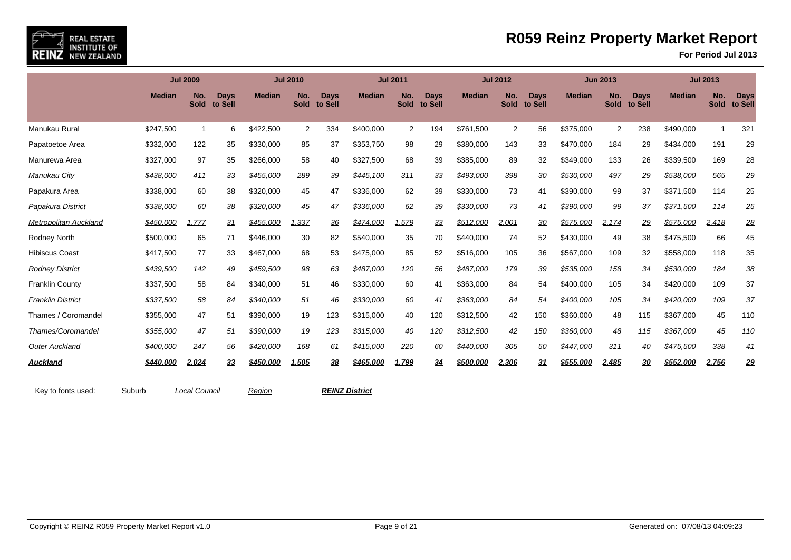

|                              |               | <b>Jul 2009</b>    |                        |               | <b>Jul 2010</b>    |                 |               | <b>Jul 2011</b>    |                        |                  | <b>Jul 2012</b>    |                 |                  | <b>Jun 2013</b>    |                        |                  | <b>Jul 2013</b>    |                        |
|------------------------------|---------------|--------------------|------------------------|---------------|--------------------|-----------------|---------------|--------------------|------------------------|------------------|--------------------|-----------------|------------------|--------------------|------------------------|------------------|--------------------|------------------------|
|                              | <b>Median</b> | No.<br><b>Sold</b> | <b>Days</b><br>to Sell | <b>Median</b> | No.<br><b>Sold</b> | Days<br>to Sell | <b>Median</b> | No.<br><b>Sold</b> | <b>Days</b><br>to Sell | <b>Median</b>    | No.<br><b>Sold</b> | Days<br>to Sell | <b>Median</b>    | No.<br><b>Sold</b> | <b>Days</b><br>to Sell | <b>Median</b>    | No.<br><b>Sold</b> | <b>Days</b><br>to Sell |
| Manukau Rural                | \$247,500     | 1                  | 6                      | \$422,500     | $\overline{2}$     | 334             | \$400,000     | 2                  | 194                    | \$761,500        | 2                  | 56              | \$375,000        | 2                  | 238                    | \$490,000        |                    | 321                    |
| Papatoetoe Area              | \$332,000     | 122                | 35                     | \$330,000     | 85                 | 37              | \$353,750     | 98                 | 29                     | \$380,000        | 143                | 33              | \$470,000        | 184                | 29                     | \$434,000        | 191                | 29                     |
| Manurewa Area                | \$327,000     | 97                 | 35                     | \$266,000     | 58                 | 40              | \$327,500     | 68                 | 39                     | \$385,000        | 89                 | 32              | \$349,000        | 133                | 26                     | \$339,500        | 169                | 28                     |
| Manukau City                 | \$438,000     | 411                | 33                     | \$455,000     | 289                | 39              | \$445,100     | 311                | 33                     | \$493,000        | 398                | 30              | \$530,000        | 497                | 29                     | \$538,000        | 565                | 29                     |
| Papakura Area                | \$338,000     | 60                 | 38                     | \$320,000     | 45                 | 47              | \$336,000     | 62                 | 39                     | \$330,000        | 73                 | 41              | \$390,000        | 99                 | 37                     | \$371,500        | 114                | 25                     |
| Papakura District            | \$338,000     | 60                 | 38                     | \$320,000     | 45                 | 47              | \$336,000     | 62                 | 39                     | \$330,000        | 73                 | 41              | \$390,000        | 99                 | 37                     | \$371,500        | 114                | 25                     |
| <b>Metropolitan Auckland</b> | \$450,000     | 1,777              | 31                     | \$455,000     | 1,337              | 36              | \$474,000     | 1,579              | 33                     | \$512,000        | 2,001              | 30              | \$575,000        | 2,174              | 29                     | \$575,000        | 2,418              | 28                     |
| Rodney North                 | \$500,000     | 65                 | 71                     | \$446,000     | 30                 | 82              | \$540,000     | 35                 | 70                     | \$440,000        | 74                 | 52              | \$430,000        | 49                 | 38                     | \$475,500        | 66                 | 45                     |
| <b>Hibiscus Coast</b>        | \$417,500     | 77                 | 33                     | \$467,000     | 68                 | 53              | \$475,000     | 85                 | 52                     | \$516,000        | 105                | 36              | \$567,000        | 109                | 32                     | \$558,000        | 118                | 35                     |
| <b>Rodney District</b>       | \$439,500     | 142                | 49                     | \$459,500     | 98                 | 63              | \$487,000     | 120                | 56                     | \$487,000        | 179                | 39              | \$535,000        | 158                | 34                     | \$530,000        | 184                | 38                     |
| <b>Franklin County</b>       | \$337,500     | 58                 | 84                     | \$340,000     | 51                 | 46              | \$330,000     | 60                 | 41                     | \$363,000        | 84                 | 54              | \$400,000        | 105                | 34                     | \$420,000        | 109                | 37                     |
| <b>Franklin District</b>     | \$337,500     | 58                 | 84                     | \$340,000     | 51                 | 46              | \$330,000     | 60                 | 41                     | \$363,000        | 84                 | 54              | \$400,000        | 105                | 34                     | \$420,000        | 109                | 37                     |
| Thames / Coromandel          | \$355,000     | 47                 | 51                     | \$390,000     | 19                 | 123             | \$315,000     | 40                 | 120                    | \$312,500        | 42                 | 150             | \$360,000        | 48                 | 115                    | \$367,000        | 45                 | 110                    |
| Thames/Coromandel            | \$355,000     | 47                 | 51                     | \$390,000     | 19                 | 123             | \$315,000     | 40                 | 120                    | \$312,500        | 42                 | 150             | \$360,000        | 48                 | 115                    | \$367,000        | 45                 | 110                    |
| <b>Outer Auckland</b>        | \$400,000     | 247                | 56                     | \$420,000     | 168                | <u>61</u>       | \$415,000     | 220                | 60                     | \$440,000        | 305                | 50              | \$447,000        | 311                | 40                     | \$475,500        | 338                | <u>41</u>              |
| <b>Auckland</b>              | \$440,000     | 2,024              | 33                     | \$450,000     | 1,505              | 38              | \$465,000     | 1,799              | 34                     | <u>\$500,000</u> | <u>2,306</u>       | <u>31</u>       | <u>\$555,000</u> | 2,485              | 30                     | <u>\$552,000</u> | 2,756              | <u>29</u>              |

Key to fonts used: Suburb Local Council Region **REINZ District**

REAL ESTATE<br>INSTITUTE OF<br>NEW ZEALAND

REINZ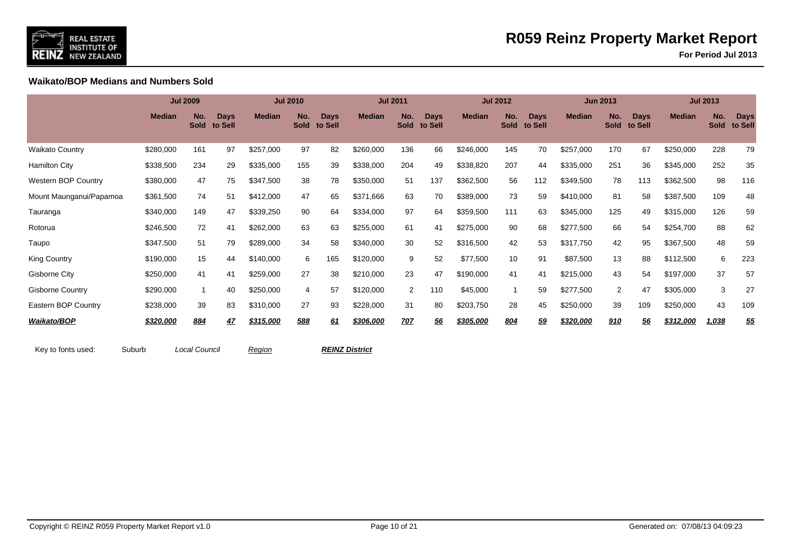

**For Period Jul 2013**

**Waikato/BOP Medians and Numbers Sold**

|                            |               | <b>Jul 2009</b>    |                        |               | <b>Jul 2010</b>    |                        |               | <b>Jul 2011</b>    |                        |               | <b>Jul 2012</b>    |                        |               | <b>Jun 2013</b>    |                        |               | <b>Jul 2013</b>    |                        |
|----------------------------|---------------|--------------------|------------------------|---------------|--------------------|------------------------|---------------|--------------------|------------------------|---------------|--------------------|------------------------|---------------|--------------------|------------------------|---------------|--------------------|------------------------|
|                            | <b>Median</b> | No.<br><b>Sold</b> | <b>Days</b><br>to Sell | <b>Median</b> | No.<br><b>Sold</b> | <b>Days</b><br>to Sell | <b>Median</b> | No.<br><b>Sold</b> | <b>Days</b><br>to Sell | <b>Median</b> | No.<br><b>Sold</b> | <b>Days</b><br>to Sell | <b>Median</b> | No.<br><b>Sold</b> | <b>Days</b><br>to Sell | <b>Median</b> | No.<br><b>Sold</b> | <b>Days</b><br>to Sell |
| <b>Waikato Country</b>     | \$280,000     | 161                | 97                     | \$257,000     | 97                 | 82                     | \$260,000     | 136                | 66                     | \$246,000     | 145                | 70                     | \$257,000     | 170                | 67                     | \$250,000     | 228                | 79                     |
| <b>Hamilton City</b>       | \$338,500     | 234                | 29                     | \$335,000     | 155                | 39                     | \$338,000     | 204                | 49                     | \$338,820     | 207                | 44                     | \$335,000     | 251                | 36                     | \$345,000     | 252                | 35                     |
| <b>Western BOP Country</b> | \$380,000     | 47                 | 75                     | \$347,500     | 38                 | 78                     | \$350,000     | 51                 | 137                    | \$362,500     | 56                 | 112                    | \$349,500     | 78                 | 113                    | \$362,500     | 98                 | 116                    |
| Mount Maunganui/Papamoa    | \$361,500     | 74                 | 51                     | \$412,000     | 47                 | 65                     | \$371,666     | 63                 | 70                     | \$389,000     | 73                 | 59                     | \$410,000     | 81                 | 58                     | \$387,500     | 109                | 48                     |
| Tauranga                   | \$340,000     | 149                | 47                     | \$339,250     | 90                 | 64                     | \$334,000     | 97                 | 64                     | \$359,500     | 111                | 63                     | \$345,000     | 125                | 49                     | \$315,000     | 126                | 59                     |
| Rotorua                    | \$246,500     | 72                 | 41                     | \$262,000     | 63                 | 63                     | \$255,000     | 61                 | 41                     | \$275,000     | 90                 | 68                     | \$277,500     | 66                 | 54                     | \$254,700     | 88                 | 62                     |
| Taupo                      | \$347,500     | 51                 | 79                     | \$289,000     | 34                 | 58                     | \$340,000     | 30                 | 52                     | \$316,500     | 42                 | 53                     | \$317,750     | 42                 | 95                     | \$367,500     | 48                 | 59                     |
| <b>King Country</b>        | \$190,000     | 15                 | 44                     | \$140,000     | 6                  | 165                    | \$120,000     | 9                  | 52                     | \$77,500      | 10                 | 91                     | \$87,500      | 13                 | 88                     | \$112,500     | 6                  | 223                    |
| <b>Gisborne City</b>       | \$250,000     | 41                 | 41                     | \$259,000     | 27                 | 38                     | \$210,000     | 23                 | 47                     | \$190,000     | 41                 | 41                     | \$215,000     | 43                 | 54                     | \$197,000     | 37                 | 57                     |
| <b>Gisborne Country</b>    | \$290,000     |                    | 40                     | \$250,000     | 4                  | 57                     | \$120,000     | $\overline{2}$     | 110                    | \$45,000      |                    | 59                     | \$277,500     | 2                  | 47                     | \$305,000     | 3                  | 27                     |
| Eastern BOP Country        | \$238,000     | 39                 | 83                     | \$310,000     | 27                 | 93                     | \$228,000     | 31                 | 80                     | \$203,750     | 28                 | 45                     | \$250,000     | 39                 | 109                    | \$250,000     | 43                 | 109                    |
| Waikato/BOP                | \$320,000     | 884                | 47                     | \$315,000     | 588                | 61                     | \$306,000     | 707                | 56                     | \$305,000     | 804                | 59                     | \$320,000     | 910                | 56                     | \$312,000     | 1,038              | <u>55</u>              |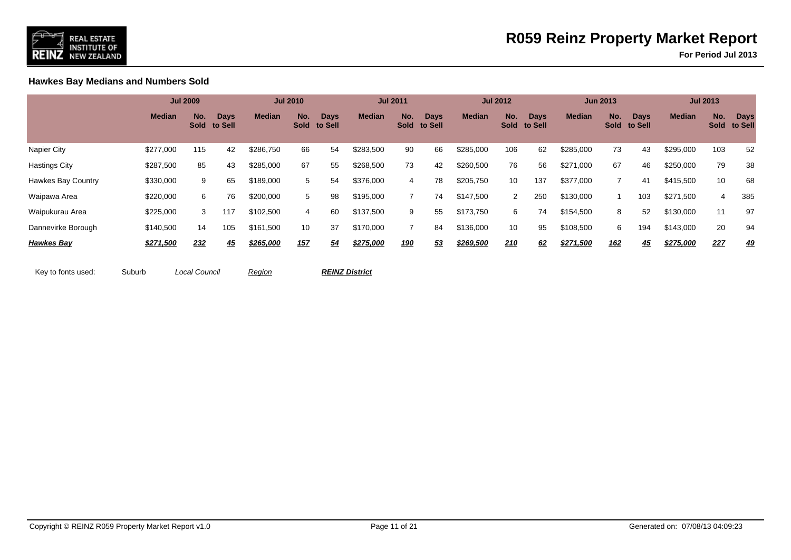

**For Period Jul 2013**

**Hawkes Bay Medians and Numbers Sold**

|                           |               | <b>Jul 2009</b> |                             |               | <b>Jul 2010</b> |                             |               | <b>Jul 2011</b> |                             |               | <b>Jul 2012</b> |                             |               | <b>Jun 2013</b> |                      |               | <b>Jul 2013</b> |                        |
|---------------------------|---------------|-----------------|-----------------------------|---------------|-----------------|-----------------------------|---------------|-----------------|-----------------------------|---------------|-----------------|-----------------------------|---------------|-----------------|----------------------|---------------|-----------------|------------------------|
|                           | <b>Median</b> | No.             | <b>Days</b><br>Sold to Sell | <b>Median</b> | No.             | <b>Days</b><br>Sold to Sell | <b>Median</b> | No.             | <b>Days</b><br>Sold to Sell | <b>Median</b> | No.             | <b>Days</b><br>Sold to Sell | <b>Median</b> | No.             | Days<br>Sold to Sell | <b>Median</b> | No.<br>Sold     | <b>Days</b><br>to Sell |
| Napier City               | \$277,000     | 115             | 42                          | \$286,750     | 66              | 54                          | \$283,500     | 90              | 66                          | \$285,000     | 106             | 62                          | \$285,000     | 73              | 43                   | \$295,000     | 103             | 52                     |
| <b>Hastings City</b>      | \$287,500     | 85              | 43                          | \$285,000     | 67              | 55                          | \$268,500     | 73              | 42                          | \$260,500     | 76              | 56                          | \$271,000     | 67              | 46                   | \$250,000     | 79              | 38                     |
| <b>Hawkes Bay Country</b> | \$330,000     | 9               | 65                          | \$189,000     | 5               | 54                          | \$376,000     | 4               | 78                          | \$205,750     | 10              | 137                         | \$377,000     |                 | 41                   | \$415,500     | 10              | 68                     |
| Waipawa Area              | \$220,000     | 6               | 76                          | \$200,000     | 5               | 98                          | \$195,000     |                 | 74                          | \$147,500     | $\overline{2}$  | 250                         | \$130,000     |                 | 103                  | \$271,500     | 4               | 385                    |
| Waipukurau Area           | \$225,000     | 3               | 117                         | \$102,500     | 4               | 60                          | \$137,500     | 9               | 55                          | \$173,750     | 6               | 74                          | \$154,500     | 8               | 52                   | \$130,000     | 11              | 97                     |
| Dannevirke Borough        | \$140,500     | 14              | 105                         | \$161,500     | 10              | 37                          | \$170,000     |                 | 84                          | \$136,000     | 10              | 95                          | \$108,500     | 6               | 194                  | \$143,000     | 20              | 94                     |
| <b>Hawkes Bay</b>         | \$271,500     | 232             | <u>45</u>                   | \$265,000     | 157             | 54                          | \$275,000     | <u>190</u>      | 53                          | \$269,500     | 210             | 62                          | \$271,500     | <u>162</u>      | 45                   | \$275,000     | 227             | <u>49</u>              |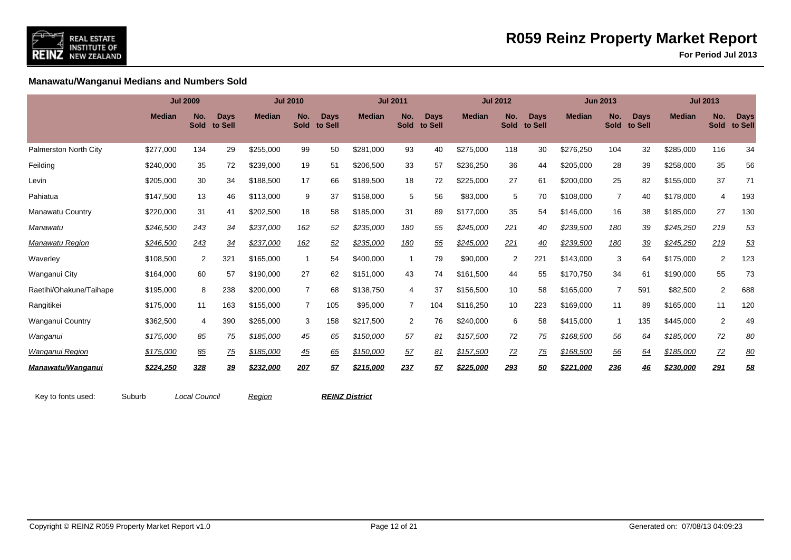

**For Period Jul 2013**

**Manawatu/Wanganui Medians and Numbers Sold**

|                         |               | <b>Jul 2009</b>    |                        |               | <b>Jul 2010</b>    |                        |               | <b>Jul 2011</b>    |                 |               | <b>Jul 2012</b>    |                        |               | <b>Jun 2013</b>    |                        |               | <b>Jul 2013</b>    |                        |
|-------------------------|---------------|--------------------|------------------------|---------------|--------------------|------------------------|---------------|--------------------|-----------------|---------------|--------------------|------------------------|---------------|--------------------|------------------------|---------------|--------------------|------------------------|
|                         | <b>Median</b> | No.<br><b>Sold</b> | <b>Days</b><br>to Sell | <b>Median</b> | No.<br><b>Sold</b> | <b>Days</b><br>to Sell | <b>Median</b> | No.<br><b>Sold</b> | Days<br>to Sell | <b>Median</b> | No.<br><b>Sold</b> | <b>Days</b><br>to Sell | <b>Median</b> | No.<br><b>Sold</b> | <b>Days</b><br>to Sell | <b>Median</b> | No.<br><b>Sold</b> | <b>Days</b><br>to Sell |
| Palmerston North City   | \$277,000     | 134                | 29                     | \$255,000     | 99                 | 50                     | \$281,000     | 93                 | 40              | \$275,000     | 118                | 30                     | \$276,250     | 104                | 32                     | \$285,000     | 116                | 34                     |
| Feilding                | \$240,000     | 35                 | 72                     | \$239,000     | 19                 | 51                     | \$206,500     | 33                 | 57              | \$236,250     | 36                 | 44                     | \$205,000     | 28                 | 39                     | \$258,000     | 35                 | 56                     |
| Levin                   | \$205,000     | 30                 | 34                     | \$188,500     | 17                 | 66                     | \$189,500     | 18                 | 72              | \$225,000     | 27                 | 61                     | \$200,000     | 25                 | 82                     | \$155,000     | 37                 | 71                     |
| Pahiatua                | \$147,500     | 13                 | 46                     | \$113,000     | 9                  | 37                     | \$158,000     | 5                  | 56              | \$83,000      | 5                  | 70                     | \$108,000     | 7                  | 40                     | \$178,000     | 4                  | 193                    |
| Manawatu Country        | \$220,000     | 31                 | 41                     | \$202,500     | 18                 | 58                     | \$185,000     | 31                 | 89              | \$177,000     | 35                 | 54                     | \$146,000     | 16                 | 38                     | \$185,000     | 27                 | 130                    |
| Manawatu                | \$246,500     | 243                | 34                     | \$237,000     | 162                | 52                     | \$235,000     | 180                | 55              | \$245,000     | 221                | 40                     | \$239,500     | 180                | 39                     | \$245,250     | 219                | 53                     |
| Manawatu Region         | \$246,500     | 243                | 34                     | \$237,000     | 162                | 52                     | \$235,000     | 180                | 55              | \$245,000     | 221                | 40                     | \$239,500     | <u>180</u>         | 39                     | \$245,250     | 219                | <u>53</u>              |
| Waverley                | \$108,500     | $\overline{2}$     | 321                    | \$165,000     | -1                 | 54                     | \$400,000     | -1                 | 79              | \$90,000      | 2                  | 221                    | \$143,000     | 3                  | 64                     | \$175,000     | 2                  | 123                    |
| Wanganui City           | \$164,000     | 60                 | 57                     | \$190,000     | 27                 | 62                     | \$151,000     | 43                 | 74              | \$161,500     | 44                 | 55                     | \$170,750     | 34                 | 61                     | \$190,000     | 55                 | 73                     |
| Raetihi/Ohakune/Taihape | \$195,000     | 8                  | 238                    | \$200,000     | $\overline{7}$     | 68                     | \$138,750     | 4                  | 37              | \$156,500     | 10                 | 58                     | \$165,000     | $\overline{7}$     | 591                    | \$82,500      | 2                  | 688                    |
| Rangitikei              | \$175,000     | 11                 | 163                    | \$155,000     | $\overline{7}$     | 105                    | \$95,000      | $\overline{7}$     | 104             | \$116.250     | 10                 | 223                    | \$169,000     | 11                 | 89                     | \$165,000     | 11                 | 120                    |
| Wanganui Country        | \$362,500     | 4                  | 390                    | \$265,000     | 3                  | 158                    | \$217,500     | 2                  | 76              | \$240,000     | 6                  | 58                     | \$415,000     |                    | 135                    | \$445,000     | 2                  | 49                     |
| Wanganui                | \$175,000     | 85                 | 75                     | \$185,000     | 45                 | 65                     | \$150,000     | 57                 | 81              | \$157,500     | 72                 | 75                     | \$168,500     | 56                 | 64                     | \$185,000     | 72                 | 80                     |
| <b>Wanganui Region</b>  | \$175,000     | 85                 | 75                     | \$185,000     | 45                 | 65                     | \$150,000     | 57                 | 81              | \$157,500     | $Z^2$              | 75                     | \$168,500     | 56                 | 64                     | \$185,000     | $Z^2$              | 80                     |
| Manawatu/Wanganui       | \$224,250     | 328                | <u>39</u>              | \$232,000     | 207                | 57                     | \$215,000     | 237                | 57              | \$225,000     | 293                | 50                     | \$221,000     | 236                | <u>46</u>              | \$230,000     | 291                | <u>58</u>              |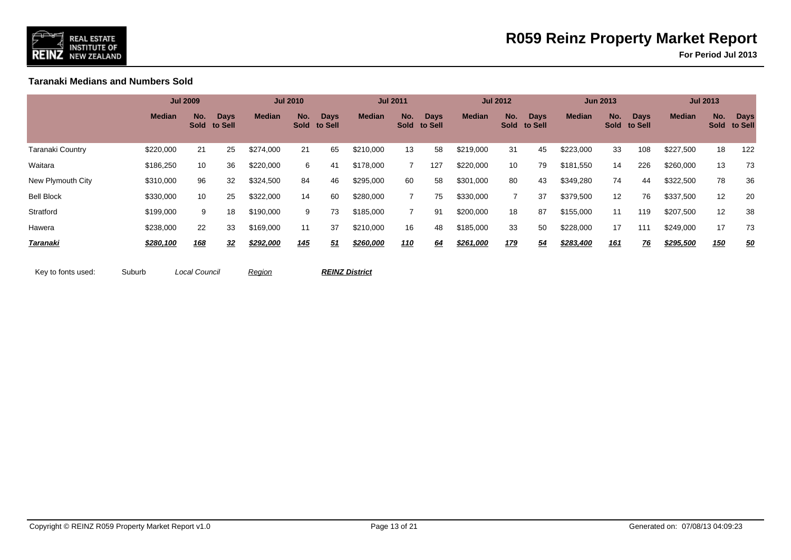

**For Period Jul 2013**

**Taranaki Medians and Numbers Sold**

|                   |               | <b>Jul 2009</b> |                             |               | <b>Jul 2010</b> |                             |               | <b>Jul 2011</b> |                             |               | <b>Jul 2012</b> |                             |               | <b>Jun 2013</b> |                             |               | <b>Jul 2013</b> |                        |
|-------------------|---------------|-----------------|-----------------------------|---------------|-----------------|-----------------------------|---------------|-----------------|-----------------------------|---------------|-----------------|-----------------------------|---------------|-----------------|-----------------------------|---------------|-----------------|------------------------|
|                   | <b>Median</b> | No.             | <b>Days</b><br>Sold to Sell | <b>Median</b> | No.             | <b>Days</b><br>Sold to Sell | <b>Median</b> | No.             | <b>Days</b><br>Sold to Sell | <b>Median</b> | No.             | <b>Days</b><br>Sold to Sell | <b>Median</b> | No.             | <b>Days</b><br>Sold to Sell | <b>Median</b> | No.<br>Sold     | <b>Days</b><br>to Sell |
| Taranaki Country  | \$220,000     | 21              | 25                          | \$274,000     | 21              | 65                          | \$210,000     | 13              | 58                          | \$219,000     | 31              | 45                          | \$223,000     | 33              | 108                         | \$227,500     | 18              | 122                    |
| Waitara           | \$186,250     | 10              | 36                          | \$220,000     | 6               | 41                          | \$178,000     |                 | 127                         | \$220,000     | 10              | 79                          | \$181,550     | 14              | 226                         | \$260,000     | 13              | 73                     |
| New Plymouth City | \$310,000     | 96              | 32                          | \$324,500     | 84              | 46                          | \$295,000     | 60              | 58                          | \$301,000     | 80              | 43                          | \$349,280     | 74              | 44                          | \$322,500     | 78              | 36                     |
| <b>Bell Block</b> | \$330,000     | 10              | 25                          | \$322,000     | 14              | 60                          | \$280,000     |                 | 75                          | \$330,000     | $\overline{7}$  | 37                          | \$379,500     | 12              | 76                          | \$337,500     | 12              | 20                     |
| Stratford         | \$199,000     | 9               | 18                          | \$190,000     | 9               | 73                          | \$185,000     |                 | 91                          | \$200,000     | 18              | 87                          | \$155,000     | 11              | 119                         | \$207,500     | 12              | 38                     |
| Hawera            | \$238,000     | 22              | 33                          | \$169,000     | 11              | 37                          | \$210,000     | 16              | 48                          | \$185,000     | 33              | 50                          | \$228,000     | 17              | 111                         | \$249,000     | 17              | 73                     |
| Taranaki          | \$280,100     | 168             | 32                          | \$292,000     | <u>145</u>      | 51                          | \$260,000     | <u> 110</u>     | 64                          | \$261,000     | 179             | 54                          | \$283,400     | <u>161</u>      | 76                          | \$295,500     | <u>150</u>      | 50                     |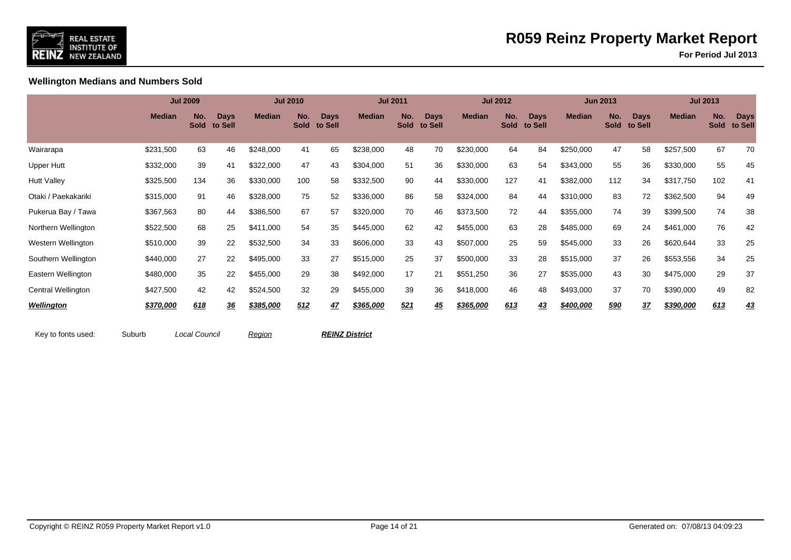

**For Period Jul 2013**

**Wellington Medians and Numbers Sold**

|                     |               | <b>Jul 2009</b>    |                        |               | <b>Jul 2010</b>    |                        |               | <b>Jul 2011</b>    |                        |               | <b>Jul 2012</b>    |                        |               | <b>Jun 2013</b>    |                        |               | <b>Jul 2013</b>    |                        |
|---------------------|---------------|--------------------|------------------------|---------------|--------------------|------------------------|---------------|--------------------|------------------------|---------------|--------------------|------------------------|---------------|--------------------|------------------------|---------------|--------------------|------------------------|
|                     | <b>Median</b> | No.<br><b>Sold</b> | <b>Days</b><br>to Sell | <b>Median</b> | No.<br><b>Sold</b> | <b>Days</b><br>to Sell | <b>Median</b> | No.<br><b>Sold</b> | <b>Days</b><br>to Sell | <b>Median</b> | No.<br><b>Sold</b> | <b>Days</b><br>to Sell | <b>Median</b> | No.<br><b>Sold</b> | <b>Days</b><br>to Sell | <b>Median</b> | No.<br><b>Sold</b> | <b>Days</b><br>to Sell |
| Wairarapa           | \$231,500     | 63                 | 46                     | \$248,000     | 41                 | 65                     | \$238,000     | 48                 | 70                     | \$230,000     | 64                 | 84                     | \$250,000     | 47                 | 58                     | \$257,500     | 67                 | 70                     |
| <b>Upper Hutt</b>   | \$332,000     | 39                 | 41                     | \$322,000     | 47                 | 43                     | \$304,000     | 51                 | 36                     | \$330,000     | 63                 | 54                     | \$343,000     | 55                 | 36                     | \$330,000     | 55                 | 45                     |
| <b>Hutt Valley</b>  | \$325,500     | 134                | 36                     | \$330,000     | 100                | 58                     | \$332,500     | 90                 | 44                     | \$330,000     | 127                | 41                     | \$382,000     | 112                | 34                     | \$317,750     | 102                | 41                     |
| Otaki / Paekakariki | \$315,000     | 91                 | 46                     | \$328,000     | 75                 | 52                     | \$336,000     | 86                 | 58                     | \$324,000     | 84                 | 44                     | \$310,000     | 83                 | 72                     | \$362,500     | 94                 | 49                     |
| Pukerua Bay / Tawa  | \$367,563     | 80                 | 44                     | \$386,500     | 67                 | 57                     | \$320,000     | 70                 | 46                     | \$373,500     | 72                 | 44                     | \$355,000     | 74                 | 39                     | \$399,500     | 74                 | 38                     |
| Northern Wellington | \$522,500     | 68                 | 25                     | \$411,000     | 54                 | 35                     | \$445,000     | 62                 | 42                     | \$455,000     | 63                 | 28                     | \$485,000     | 69                 | 24                     | \$461,000     | 76                 | 42                     |
| Western Wellington  | \$510,000     | 39                 | 22                     | \$532,500     | 34                 | 33                     | \$606,000     | 33                 | 43                     | \$507,000     | 25                 | 59                     | \$545,000     | 33                 | 26                     | \$620,644     | 33                 | 25                     |
| Southern Wellington | \$440,000     | 27                 | 22                     | \$495,000     | 33                 | 27                     | \$515,000     | 25                 | 37                     | \$500,000     | 33                 | 28                     | \$515,000     | 37                 | 26                     | \$553,556     | 34                 | 25                     |
| Eastern Wellington  | \$480,000     | 35                 | 22                     | \$455,000     | 29                 | 38                     | \$492,000     | 17                 | 21                     | \$551,250     | 36                 | 27                     | \$535,000     | 43                 | 30                     | \$475,000     | 29                 | 37                     |
| Central Wellington  | \$427,500     | 42                 | 42                     | \$524,500     | 32                 | 29                     | \$455,000     | 39                 | 36                     | \$418,000     | 46                 | 48                     | \$493,000     | 37                 | 70                     | \$390,000     | 49                 | 82                     |
| <b>Wellington</b>   | \$370,000     | 618                | <u>36</u>              | \$385,000     | 512                | <u>47</u>              | \$365,000     | 521                | 45                     | \$365,000     | 613                | 43                     | \$400,000     | 590                | <u>37</u>              | \$390,000     | 613                | <u>43</u>              |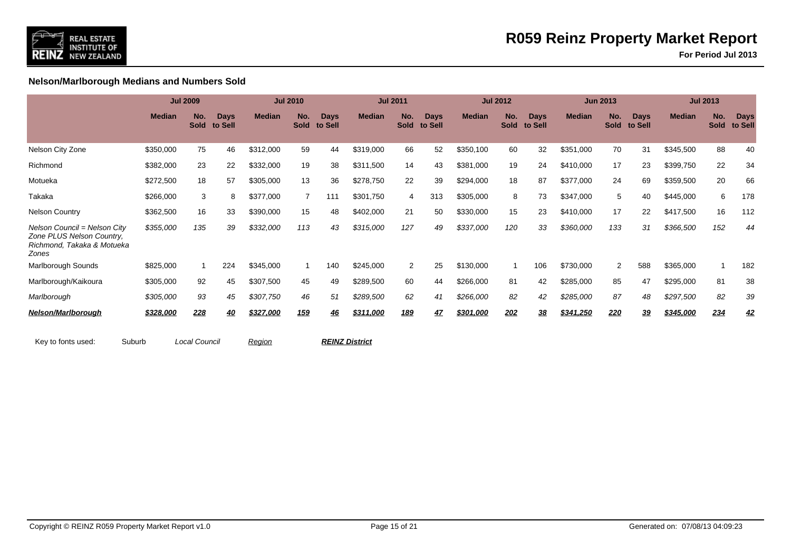

**For Period Jul 2013**

**Nelson/Marlborough Medians and Numbers Sold**

|                                                                                                  |               | <b>Jul 2009</b>    |                        |               | <b>Jul 2010</b>    |                        |               | <b>Jul 2011</b>    |                        |               | <b>Jul 2012</b>    |                        |               | <b>Jun 2013</b>    |                        |               | <b>Jul 2013</b>    |                        |
|--------------------------------------------------------------------------------------------------|---------------|--------------------|------------------------|---------------|--------------------|------------------------|---------------|--------------------|------------------------|---------------|--------------------|------------------------|---------------|--------------------|------------------------|---------------|--------------------|------------------------|
|                                                                                                  | <b>Median</b> | No.<br><b>Sold</b> | <b>Days</b><br>to Sell | <b>Median</b> | No.<br><b>Sold</b> | <b>Days</b><br>to Sell | <b>Median</b> | No.<br><b>Sold</b> | <b>Days</b><br>to Sell | <b>Median</b> | No.<br><b>Sold</b> | <b>Days</b><br>to Sell | <b>Median</b> | No.<br><b>Sold</b> | <b>Days</b><br>to Sell | <b>Median</b> | No.<br><b>Sold</b> | <b>Days</b><br>to Sell |
| Nelson City Zone                                                                                 | \$350,000     | 75                 | 46                     | \$312,000     | 59                 | 44                     | \$319,000     | 66                 | 52                     | \$350,100     | 60                 | 32                     | \$351,000     | 70                 | 31                     | \$345,500     | 88                 | 40                     |
| Richmond                                                                                         | \$382,000     | 23                 | 22                     | \$332,000     | 19                 | 38                     | \$311,500     | 14                 | 43                     | \$381,000     | 19                 | 24                     | \$410,000     | 17                 | 23                     | \$399,750     | 22                 | 34                     |
| Motueka                                                                                          | \$272,500     | 18                 | 57                     | \$305,000     | 13                 | 36                     | \$278,750     | 22                 | 39                     | \$294,000     | 18                 | 87                     | \$377,000     | 24                 | 69                     | \$359,500     | 20                 | 66                     |
| Takaka                                                                                           | \$266,000     | 3                  | 8                      | \$377,000     | $\overline{7}$     | 111                    | \$301,750     | 4                  | 313                    | \$305,000     | 8                  | 73                     | \$347,000     | 5                  | 40                     | \$445,000     | 6                  | 178                    |
| <b>Nelson Country</b>                                                                            | \$362,500     | 16                 | 33                     | \$390,000     | 15                 | 48                     | \$402,000     | 21                 | 50                     | \$330,000     | 15                 | 23                     | \$410,000     | 17                 | 22                     | \$417,500     | 16                 | 112                    |
| Nelson Council = Nelson City<br>Zone PLUS Nelson Country,<br>Richmond, Takaka & Motueka<br>Zones | \$355,000     | 135                | 39                     | \$332,000     | 113                | 43                     | \$315,000     | 127                | 49                     | \$337,000     | 120                | 33                     | \$360,000     | 133                | 31                     | \$366,500     | 152                | 44                     |
| Marlborough Sounds                                                                               | \$825,000     |                    | 224                    | \$345,000     |                    | 140                    | \$245,000     | $\overline{2}$     | 25                     | \$130,000     |                    | 106                    | \$730,000     | 2                  | 588                    | \$365,000     |                    | 182                    |
| Marlborough/Kaikoura                                                                             | \$305,000     | 92                 | 45                     | \$307,500     | 45                 | 49                     | \$289,500     | 60                 | 44                     | \$266,000     | 81                 | 42                     | \$285,000     | 85                 | 47                     | \$295,000     | 81                 | 38                     |
| Marlborough                                                                                      | \$305,000     | 93                 | 45                     | \$307,750     | 46                 | 51                     | \$289,500     | 62                 | 41                     | \$266,000     | 82                 | 42                     | \$285,000     | 87                 | 48                     | \$297,500     | 82                 | 39                     |
| Nelson/Marlborough                                                                               | \$328,000     | 228                | <u>40</u>              | \$327,000     | 159                | 46                     | \$311,000     | 189                | <u>47</u>              | \$301,000     | 202                | 38                     | \$341,250     | 220                | 39                     | \$345,000     | 234                | <u>42</u>              |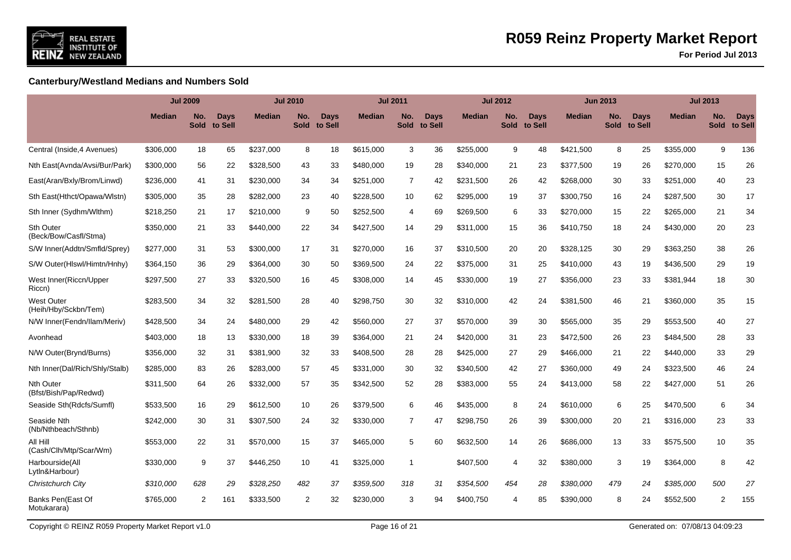

**For Period Jul 2013**

### **Canterbury/Westland Medians and Numbers Sold**

|                                           |               | <b>Jul 2009</b>    |                 |               | <b>Jul 2010</b>    |                        |               | <b>Jul 2011</b>    |                        |               | <b>Jul 2012</b>    |                        |           | <b>Jun 2013</b>    |                        |               | <b>Jul 2013</b>    |                        |
|-------------------------------------------|---------------|--------------------|-----------------|---------------|--------------------|------------------------|---------------|--------------------|------------------------|---------------|--------------------|------------------------|-----------|--------------------|------------------------|---------------|--------------------|------------------------|
|                                           | <b>Median</b> | No.<br><b>Sold</b> | Days<br>to Sell | <b>Median</b> | No.<br><b>Sold</b> | <b>Days</b><br>to Sell | <b>Median</b> | No.<br><b>Sold</b> | <b>Davs</b><br>to Sell | <b>Median</b> | No.<br><b>Sold</b> | <b>Days</b><br>to Sell | Median    | No.<br><b>Sold</b> | <b>Days</b><br>to Sell | <b>Median</b> | No.<br><b>Sold</b> | <b>Days</b><br>to Sell |
| Central (Inside, 4 Avenues)               | \$306,000     | 18                 | 65              | \$237,000     | 8                  | 18                     | \$615,000     | 3                  | 36                     | \$255,000     | 9                  | 48                     | \$421,500 | 8                  | 25                     | \$355,000     | 9                  | 136                    |
| Nth East(Avnda/Avsi/Bur/Park)             | \$300,000     | 56                 | 22              | \$328,500     | 43                 | 33                     | \$480,000     | 19                 | 28                     | \$340,000     | 21                 | 23                     | \$377,500 | 19                 | 26                     | \$270,000     | 15                 | 26                     |
| East(Aran/Bxly/Brom/Linwd)                | \$236,000     | 41                 | 31              | \$230,000     | 34                 | 34                     | \$251,000     | $\overline{7}$     | 42                     | \$231.500     | 26                 | 42                     | \$268,000 | 30                 | 33                     | \$251,000     | 40                 | 23                     |
| Sth East(Hthct/Opawa/Wlstn)               | \$305,000     | 35                 | 28              | \$282,000     | 23                 | 40                     | \$228,500     | 10                 | 62                     | \$295,000     | 19                 | 37                     | \$300,750 | 16                 | 24                     | \$287,500     | 30                 | 17                     |
| Sth Inner (Sydhm/Wlthm)                   | \$218,250     | 21                 | 17              | \$210,000     | 9                  | 50                     | \$252,500     | $\overline{4}$     | 69                     | \$269,500     | 6                  | 33                     | \$270,000 | 15                 | 22                     | \$265,000     | 21                 | 34                     |
| <b>Sth Outer</b><br>(Beck/Bow/Casfl/Stma) | \$350,000     | 21                 | 33              | \$440,000     | 22                 | 34                     | \$427,500     | 14                 | 29                     | \$311,000     | 15                 | 36                     | \$410,750 | 18                 | 24                     | \$430,000     | 20                 | 23                     |
| S/W Inner(Addtn/Smfld/Sprey)              | \$277,000     | 31                 | 53              | \$300,000     | 17                 | 31                     | \$270,000     | 16                 | 37                     | \$310,500     | 20                 | 20                     | \$328,125 | 30                 | 29                     | \$363,250     | 38                 | 26                     |
| S/W Outer(HIswl/Himtn/Hnhy)               | \$364,150     | 36                 | 29              | \$364,000     | 30                 | 50                     | \$369,500     | 24                 | 22                     | \$375,000     | 31                 | 25                     | \$410,000 | 43                 | 19                     | \$436,500     | 29                 | 19                     |
| West Inner(Riccn/Upper<br>Riccn)          | \$297,500     | 27                 | 33              | \$320,500     | 16                 | 45                     | \$308,000     | 14                 | 45                     | \$330,000     | 19                 | 27                     | \$356,000 | 23                 | 33                     | \$381,944     | 18                 | 30                     |
| <b>West Outer</b><br>(Heih/Hby/Sckbn/Tem) | \$283,500     | 34                 | 32              | \$281,500     | 28                 | 40                     | \$298.750     | 30                 | 32                     | \$310,000     | 42                 | 24                     | \$381,500 | 46                 | 21                     | \$360,000     | 35                 | 15                     |
| N/W Inner(Fendn/Ilam/Meriv)               | \$428,500     | 34                 | 24              | \$480,000     | 29                 | 42                     | \$560,000     | 27                 | 37                     | \$570,000     | 39                 | 30                     | \$565,000 | 35                 | 29                     | \$553,500     | 40                 | 27                     |
| Avonhead                                  | \$403,000     | 18                 | 13              | \$330,000     | 18                 | 39                     | \$364,000     | 21                 | 24                     | \$420,000     | 31                 | 23                     | \$472,500 | 26                 | 23                     | \$484,500     | 28                 | 33                     |
| N/W Outer(Brynd/Burns)                    | \$356,000     | 32                 | 31              | \$381,900     | 32                 | 33                     | \$408,500     | 28                 | 28                     | \$425,000     | 27                 | 29                     | \$466,000 | 21                 | 22                     | \$440,000     | 33                 | 29                     |
| Nth Inner(Dal/Rich/Shly/Stalb)            | \$285,000     | 83                 | 26              | \$283,000     | 57                 | 45                     | \$331,000     | 30                 | 32                     | \$340,500     | 42                 | 27                     | \$360,000 | 49                 | 24                     | \$323,500     | 46                 | 24                     |
| <b>Nth Outer</b><br>(Bfst/Bish/Pap/Redwd) | \$311,500     | 64                 | 26              | \$332,000     | 57                 | 35                     | \$342,500     | 52                 | 28                     | \$383,000     | 55                 | 24                     | \$413,000 | 58                 | 22                     | \$427,000     | 51                 | 26                     |
| Seaside Sth(Rdcfs/Sumfl)                  | \$533,500     | 16                 | 29              | \$612,500     | 10                 | 26                     | \$379,500     | 6                  | 46                     | \$435,000     | 8                  | 24                     | \$610,000 | 6                  | 25                     | \$470,500     | 6                  | 34                     |
| Seaside Nth<br>(Nb/Nthbeach/Sthnb)        | \$242,000     | 30                 | 31              | \$307,500     | 24                 | 32                     | \$330,000     | $\overline{7}$     | 47                     | \$298,750     | 26                 | 39                     | \$300,000 | 20                 | 21                     | \$316,000     | 23                 | 33                     |
| All Hill<br>(Cash/Clh/Mtp/Scar/Wm)        | \$553,000     | 22                 | 31              | \$570,000     | 15                 | 37                     | \$465,000     | 5                  | 60                     | \$632,500     | 14                 | 26                     | \$686,000 | 13                 | 33                     | \$575,500     | 10                 | 35                     |
| Harbourside(All<br>Lytln&Harbour)         | \$330,000     | 9                  | 37              | \$446,250     | 10                 | 41                     | \$325,000     | $\mathbf{1}$       |                        | \$407,500     | 4                  | 32                     | \$380,000 | 3                  | 19                     | \$364,000     | 8                  | 42                     |
| Christchurch City                         | \$310,000     | 628                | 29              | \$328,250     | 482                | 37                     | \$359,500     | 318                | 31                     | \$354,500     | 454                | 28                     | \$380,000 | 479                | 24                     | \$385,000     | 500                | 27                     |
| Banks Pen(East Of<br>Motukarara)          | \$765,000     | 2                  | 161             | \$333,500     | 2                  | 32                     | \$230,000     | 3                  | 94                     | \$400,750     | 4                  | 85                     | \$390,000 | 8                  | 24                     | \$552,500     | 2                  | 155                    |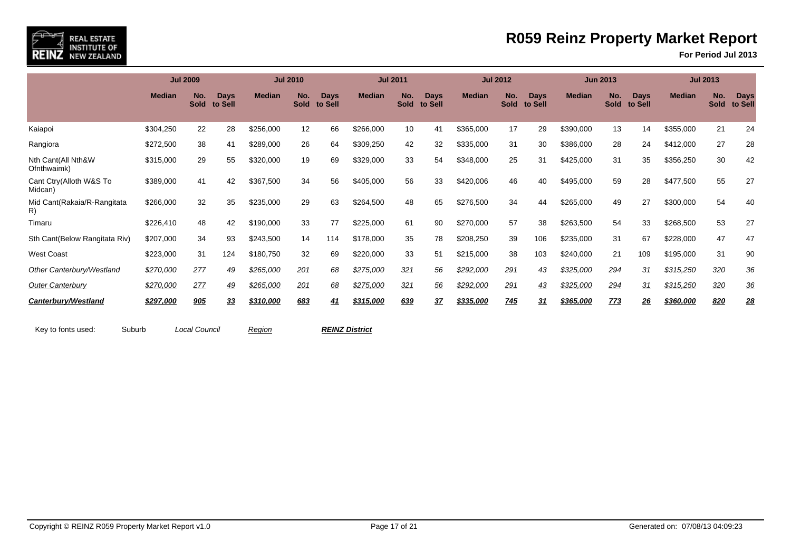

**For Period Jul 2013**

|                                    |               | <b>Jul 2009</b>    |                        |               | <b>Jul 2010</b>    |                        |               | <b>Jul 2011</b>    |                        |               | <b>Jul 2012</b>    |                        |               | <b>Jun 2013</b>    |                        |               | <b>Jul 2013</b>    |                        |
|------------------------------------|---------------|--------------------|------------------------|---------------|--------------------|------------------------|---------------|--------------------|------------------------|---------------|--------------------|------------------------|---------------|--------------------|------------------------|---------------|--------------------|------------------------|
|                                    | <b>Median</b> | No.<br><b>Sold</b> | <b>Days</b><br>to Sell | <b>Median</b> | No.<br><b>Sold</b> | <b>Days</b><br>to Sell | <b>Median</b> | No.<br><b>Sold</b> | <b>Days</b><br>to Sell | <b>Median</b> | No.<br><b>Sold</b> | <b>Days</b><br>to Sell | <b>Median</b> | No.<br><b>Sold</b> | <b>Days</b><br>to Sell | <b>Median</b> | No.<br><b>Sold</b> | <b>Days</b><br>to Sell |
| Kaiapoi                            | \$304,250     | 22                 | 28                     | \$256,000     | 12                 | 66                     | \$266,000     | 10                 | 41                     | \$365,000     | 17                 | 29                     | \$390,000     | 13                 | 14                     | \$355,000     | 21                 | 24                     |
| Rangiora                           | \$272,500     | 38                 | 41                     | \$289,000     | 26                 | 64                     | \$309,250     | 42                 | 32                     | \$335,000     | 31                 | 30                     | \$386,000     | 28                 | 24                     | \$412,000     | 27                 | 28                     |
| Nth Cant(All Nth&W<br>Ofnthwaimk)  | \$315,000     | 29                 | 55                     | \$320,000     | 19                 | 69                     | \$329,000     | 33                 | 54                     | \$348,000     | 25                 | 31                     | \$425,000     | 31                 | 35                     | \$356,250     | 30                 | 42                     |
| Cant Ctry(Alloth W&S To<br>Midcan) | \$389,000     | 41                 | 42                     | \$367,500     | 34                 | 56                     | \$405,000     | 56                 | 33                     | \$420,006     | 46                 | 40                     | \$495,000     | 59                 | 28                     | \$477,500     | 55                 | 27                     |
| Mid Cant(Rakaia/R-Rangitata<br>R)  | \$266,000     | 32                 | 35                     | \$235,000     | 29                 | 63                     | \$264,500     | 48                 | 65                     | \$276,500     | 34                 | 44                     | \$265,000     | 49                 | 27                     | \$300,000     | 54                 | 40                     |
| Timaru                             | \$226,410     | 48                 | 42                     | \$190,000     | 33                 | 77                     | \$225,000     | 61                 | 90                     | \$270,000     | 57                 | 38                     | \$263,500     | 54                 | 33                     | \$268,500     | 53                 | 27                     |
| Sth Cant(Below Rangitata Riv)      | \$207,000     | 34                 | 93                     | \$243,500     | 14                 | 114                    | \$178,000     | 35                 | 78                     | \$208,250     | 39                 | 106                    | \$235,000     | 31                 | 67                     | \$228,000     | 47                 | 47                     |
| <b>West Coast</b>                  | \$223,000     | 31                 | 124                    | \$180,750     | 32                 | 69                     | \$220,000     | 33                 | 51                     | \$215,000     | 38                 | 103                    | \$240,000     | 21                 | 109                    | \$195,000     | 31                 | 90                     |
| Other Canterbury/Westland          | \$270,000     | 277                | 49                     | \$265,000     | 201                | 68                     | \$275,000     | 321                | 56                     | \$292,000     | 291                | 43                     | \$325,000     | 294                | 31                     | \$315,250     | 320                | 36                     |
| <b>Outer Canterbury</b>            | \$270,000     | 277                | 49                     | \$265,000     | 201                | 68                     | \$275,000     | 321                | 56                     | \$292,000     | 291                | 43                     | \$325,000     | 294                | 31                     | \$315,250     | 320                | 36                     |
| Canterbury/Westland                | \$297,000     | 905                | 33                     | \$310,000     | 683                | 41                     | \$315,000     | 639                | 37                     | \$335,000     | 745                | 31                     | \$365,000     | 773                | 26                     | \$360,000     | 820                | 28                     |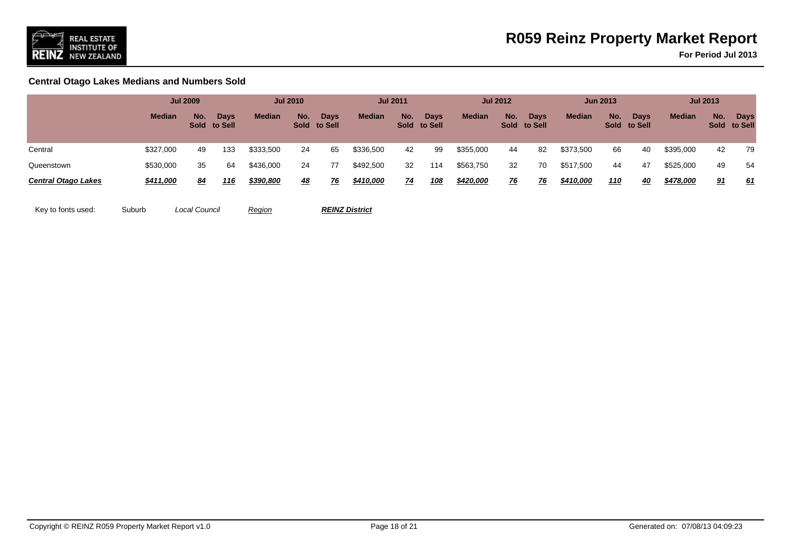

**For Period Jul 2013**

**Central Otago Lakes Medians and Numbers Sold**

|                            |               | <b>Jul 2009</b> |                             |               | <b>Jul 2010</b> |                      |               | <b>Jul 2011</b> |                             |               | <b>Jul 2012</b> |                             |               | <b>Jun 2013</b> |                      |               | <b>Jul 2013</b> |                             |
|----------------------------|---------------|-----------------|-----------------------------|---------------|-----------------|----------------------|---------------|-----------------|-----------------------------|---------------|-----------------|-----------------------------|---------------|-----------------|----------------------|---------------|-----------------|-----------------------------|
|                            | <b>Median</b> | No.             | <b>Days</b><br>Sold to Sell | <b>Median</b> | No.             | Days<br>Sold to Sell | <b>Median</b> | No.             | <b>Days</b><br>Sold to Sell | <b>Median</b> | No.             | <b>Days</b><br>Sold to Sell | <b>Median</b> | No.             | Days<br>Sold to Sell | <b>Median</b> | No.             | <b>Days</b><br>Sold to Sell |
| Central                    | \$327,000     | 49              | 133                         | \$333,500     | 24              | 65                   | \$336,500     | 42              | 99                          | \$355,000     | 44              | 82                          | \$373,500     | 66              | 40                   | \$395,000     | 42              | 79                          |
| Queenstown                 | \$530,000     | 35              | 64                          | \$436,000     | 24              | 77                   | \$492,500     | 32              | 114                         | \$563,750     | 32              | 70                          | \$517,500     | 44              | 47                   | \$525,000     | 49              | 54                          |
| <b>Central Otago Lakes</b> | \$411,000     | 84              | 116                         | \$390,800     | <u>48</u>       | 76                   | \$410,000     | <u>74</u>       | <u> 108</u>                 | \$420,000     | <u>76</u>       | <u>76</u>                   | \$410,000     | <u>110</u>      | 40                   | \$478,000     | 91              | 61                          |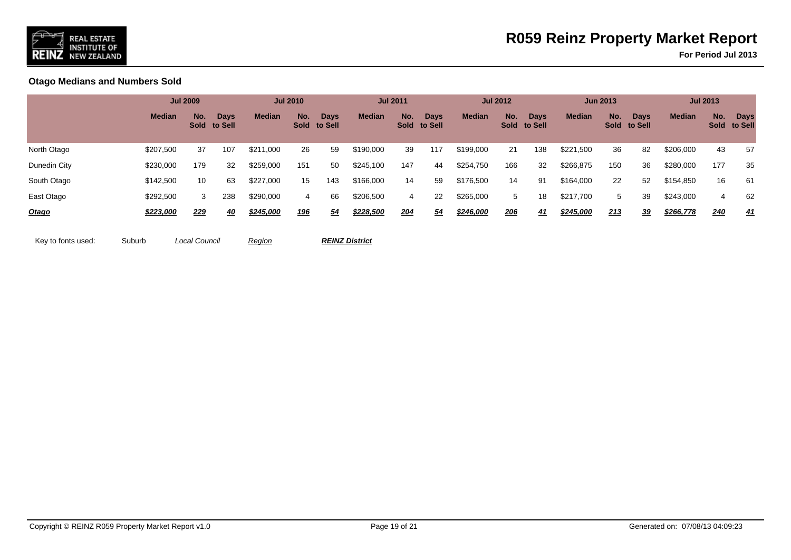

**For Period Jul 2013**

**Otago Medians and Numbers Sold**

|              |                  | <b>Jul 2009</b> |                             |               | <b>Jul 2010</b> |                             |               | <b>Jul 2011</b> |                             |               | <b>Jul 2012</b> |                             |               | <b>Jun 2013</b> |                             |               | <b>Jul 2013</b> |                             |
|--------------|------------------|-----------------|-----------------------------|---------------|-----------------|-----------------------------|---------------|-----------------|-----------------------------|---------------|-----------------|-----------------------------|---------------|-----------------|-----------------------------|---------------|-----------------|-----------------------------|
|              | <b>Median</b>    | No.             | <b>Days</b><br>Sold to Sell | <b>Median</b> | No.             | <b>Days</b><br>Sold to Sell | <b>Median</b> | No.             | <b>Days</b><br>Sold to Sell | <b>Median</b> | No.             | <b>Days</b><br>Sold to Sell | <b>Median</b> | No.             | <b>Days</b><br>Sold to Sell | <b>Median</b> | No.             | <b>Days</b><br>Sold to Sell |
| North Otago  | \$207,500        | 37              | 107                         | \$211,000     | 26              | 59                          | \$190,000     | 39              | 117                         | \$199,000     | 21              | 138                         | \$221,500     | 36              | 82                          | \$206,000     | 43              | 57                          |
| Dunedin City | \$230,000        | 179             | 32                          | \$259,000     | 151             | 50                          | \$245,100     | 147             | 44                          | \$254,750     | 166             | 32                          | \$266,875     | 150             | 36                          | \$280,000     | 177             | 35                          |
| South Otago  | \$142,500        | 10              | 63                          | \$227,000     | 15              | 143                         | \$166,000     | 14              | 59                          | \$176,500     | 14              | 91                          | \$164,000     | 22              | 52                          | \$154,850     | 16              | -61                         |
| East Otago   | \$292,500        | 3               | 238                         | \$290,000     | 4               | 66                          | \$206,500     | 4               | 22                          | \$265,000     | 5               | 18                          | \$217,700     | 5 <sup>5</sup>  | 39                          | \$243,000     | 4               | 62                          |
| Otago        | <u>\$223,000</u> | 229             | <u>40</u>                   | \$245,000     | <u>196</u>      | 54                          | \$228,500     | <u>204</u>      | 54                          | \$246,000     | 206             | <u>41</u>                   | \$245,000     | 213             | 39                          | \$266,778     | <u>240</u>      | 41                          |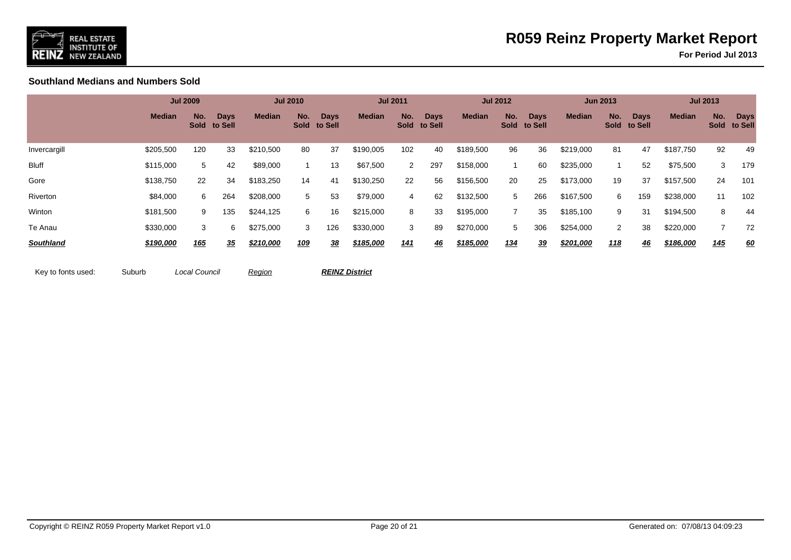

**For Period Jul 2013**

**Southland Medians and Numbers Sold**

|                  |               | <b>Jul 2009</b> |                             |               | <b>Jul 2010</b> |                             |               | <b>Jul 2011</b> |                             |               | <b>Jul 2012</b> |                             |               | <b>Jun 2013</b> |                             |               | <b>Jul 2013</b>    |                        |
|------------------|---------------|-----------------|-----------------------------|---------------|-----------------|-----------------------------|---------------|-----------------|-----------------------------|---------------|-----------------|-----------------------------|---------------|-----------------|-----------------------------|---------------|--------------------|------------------------|
|                  | <b>Median</b> | No.             | <b>Days</b><br>Sold to Sell | <b>Median</b> | No.             | <b>Days</b><br>Sold to Sell | <b>Median</b> | No.             | <b>Days</b><br>Sold to Sell | <b>Median</b> | No.             | <b>Days</b><br>Sold to Sell | <b>Median</b> | No.             | <b>Days</b><br>Sold to Sell | <b>Median</b> | No.<br><b>Sold</b> | <b>Days</b><br>to Sell |
| Invercargill     | \$205,500     | 120             | 33                          | \$210,500     | 80              | 37                          | \$190,005     | 102             | 40                          | \$189,500     | 96              | 36                          | \$219,000     | 81              | 47                          | \$187,750     | 92                 | 49                     |
| Bluff            | \$115,000     | 5               | 42                          | \$89,000      |                 | 13                          | \$67,500      | $\overline{2}$  | 297                         | \$158,000     |                 | 60                          | \$235,000     |                 | 52                          | \$75,500      | 3                  | 179                    |
| Gore             | \$138,750     | 22              | 34                          | \$183,250     | 14              | 41                          | \$130,250     | 22              | 56                          | \$156,500     | 20              | 25                          | \$173,000     | 19              | 37                          | \$157,500     | 24                 | 101                    |
| Riverton         | \$84,000      | 6               | 264                         | \$208,000     | 5               | 53                          | \$79,000      | 4               | 62                          | \$132,500     | 5               | 266                         | \$167,500     | 6               | 159                         | \$238,000     | 11                 | 102                    |
| Winton           | \$181,500     | 9               | 135                         | \$244,125     | 6               | 16                          | \$215,000     | 8               | 33                          | \$195,000     | $\overline{7}$  | 35                          | \$185,100     | 9               | 31                          | \$194,500     | 8                  | 44                     |
| Te Anau          | \$330,000     | 3               | 6                           | \$275,000     | 3               | 126                         | \$330,000     | 3               | 89                          | \$270,000     | 5               | 306                         | \$254,000     | $\overline{2}$  | 38                          | \$220,000     |                    | 72                     |
| <b>Southland</b> | \$190,000     | <b>165</b>      | <u>35</u>                   | \$210,000     | 109             | 38                          | \$185,000     | <u> 141</u>     | <u>46</u>                   | \$185,000     | 134             | 39                          | \$201,000     | <u> 118</u>     | 46                          | \$186,000     | <u>145</u>         | <u>60</u>              |